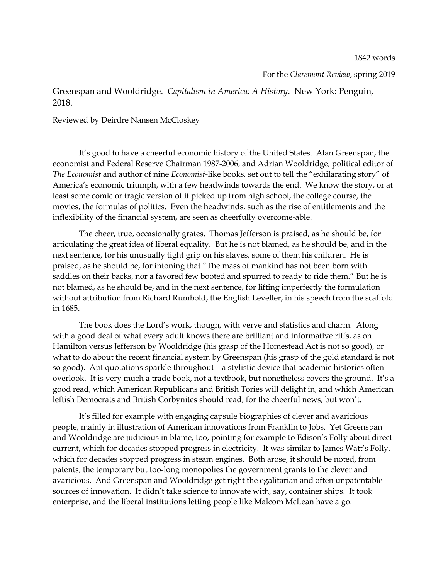1842 words

For the *Claremont Review*, spring 2019

Greenspan and Wooldridge. *Capitalism in America: A History*. New York: Penguin, 2018.

Reviewed by Deirdre Nansen McCloskey

It's good to have a cheerful economic history of the United States. Alan Greenspan, the economist and Federal Reserve Chairman 1987-2006, and Adrian Wooldridge, political editor of *The Economist* and author of nine *Economist-*like books*,* set out to tell the "exhilarating story" of America's economic triumph, with a few headwinds towards the end. We know the story, or at least some comic or tragic version of it picked up from high school, the college course, the movies, the formulas of politics. Even the headwinds, such as the rise of entitlements and the inflexibility of the financial system, are seen as cheerfully overcome-able.

The cheer, true, occasionally grates. Thomas Jefferson is praised, as he should be, for articulating the great idea of liberal equality. But he is not blamed, as he should be, and in the next sentence, for his unusually tight grip on his slaves, some of them his children. He is praised, as he should be, for intoning that "The mass of mankind has not been born with saddles on their backs, nor a favored few booted and spurred to ready to ride them." But he is not blamed, as he should be, and in the next sentence, for lifting imperfectly the formulation without attribution from Richard Rumbold, the English Leveller, in his speech from the scaffold in 1685.

The book does the Lord's work, though, with verve and statistics and charm. Along with a good deal of what every adult knows there are brilliant and informative riffs, as on Hamilton versus Jefferson by Wooldridge (his grasp of the Homestead Act is not so good), or what to do about the recent financial system by Greenspan (his grasp of the gold standard is not so good). Apt quotations sparkle throughout—a stylistic device that academic histories often overlook. It is very much a trade book, not a textbook, but nonetheless covers the ground. It's a good read, which American Republicans and British Tories will delight in, and which American leftish Democrats and British Corbynites should read, for the cheerful news, but won't.

It's filled for example with engaging capsule biographies of clever and avaricious people, mainly in illustration of American innovations from Franklin to Jobs. Yet Greenspan and Wooldridge are judicious in blame, too, pointing for example to Edison's Folly about direct current, which for decades stopped progress in electricity. It was similar to James Watt's Folly, which for decades stopped progress in steam engines. Both arose, it should be noted, from patents, the temporary but too-long monopolies the government grants to the clever and avaricious. And Greenspan and Wooldridge get right the egalitarian and often unpatentable sources of innovation. It didn't take science to innovate with, say, container ships. It took enterprise, and the liberal institutions letting people like Malcom McLean have a go.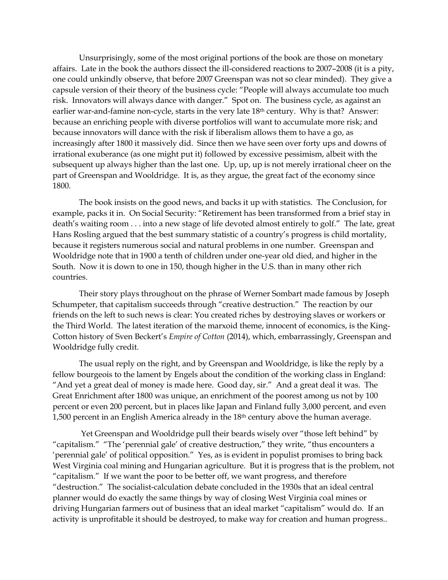Unsurprisingly, some of the most original portions of the book are those on monetary affairs. Late in the book the authors dissect the ill-considered reactions to 2007–2008 (it is a pity, one could unkindly observe, that before 2007 Greenspan was not so clear minded). They give a capsule version of their theory of the business cycle: "People will always accumulate too much risk. Innovators will always dance with danger." Spot on. The business cycle, as against an earlier war-and-famine non-cycle, starts in the very late 18th century. Why is that? Answer: because an enriching people with diverse portfolios will want to accumulate more risk; and because innovators will dance with the risk if liberalism allows them to have a go, as increasingly after 1800 it massively did. Since then we have seen over forty ups and downs of irrational exuberance (as one might put it) followed by excessive pessimism, albeit with the subsequent up always higher than the last one. Up, up, up is not merely irrational cheer on the part of Greenspan and Wooldridge. It is, as they argue, the great fact of the economy since 1800.

The book insists on the good news, and backs it up with statistics. The Conclusion, for example, packs it in. On Social Security: "Retirement has been transformed from a brief stay in death's waiting room . . . into a new stage of life devoted almost entirely to golf." The late, great Hans Rosling argued that the best summary statistic of a country's progress is child mortality, because it registers numerous social and natural problems in one number. Greenspan and Wooldridge note that in 1900 a tenth of children under one-year old died, and higher in the South. Now it is down to one in 150, though higher in the U.S. than in many other rich countries.

Their story plays throughout on the phrase of Werner Sombart made famous by Joseph Schumpeter, that capitalism succeeds through "creative destruction." The reaction by our friends on the left to such news is clear: You created riches by destroying slaves or workers or the Third World. The latest iteration of the marxoid theme, innocent of economics, is the King-Cotton history of Sven Beckert's *Empire of Cotton* (2014), which, embarrassingly, Greenspan and Wooldridge fully credit.

The usual reply on the right, and by Greenspan and Wooldridge, is like the reply by a fellow bourgeois to the lament by Engels about the condition of the working class in England: "And yet a great deal of money is made here. Good day, sir." And a great deal it was. The Great Enrichment after 1800 was unique, an enrichment of the poorest among us not by 100 percent or even 200 percent, but in places like Japan and Finland fully 3,000 percent, and even 1,500 percent in an English America already in the 18<sup>th</sup> century above the human average.

Yet Greenspan and Wooldridge pull their beards wisely over "those left behind" by "capitalism." "The 'perennial gale' of creative destruction," they write, "thus encounters a 'perennial gale' of political opposition." Yes, as is evident in populist promises to bring back West Virginia coal mining and Hungarian agriculture. But it is progress that is the problem, not "capitalism." If we want the poor to be better off, we want progress, and therefore "destruction." The socialist-calculation debate concluded in the 1930s that an ideal central planner would do exactly the same things by way of closing West Virginia coal mines or driving Hungarian farmers out of business that an ideal market "capitalism" would do. If an activity is unprofitable it should be destroyed, to make way for creation and human progress..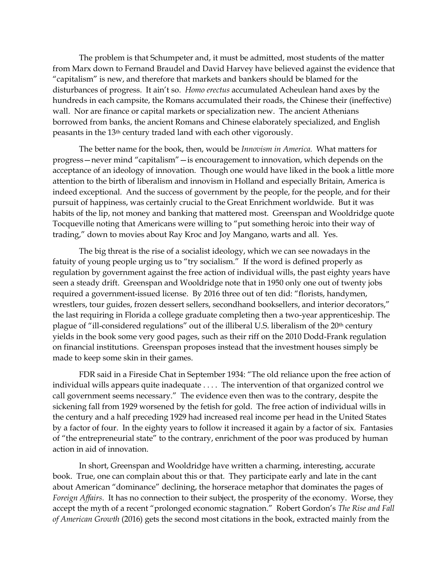The problem is that Schumpeter and, it must be admitted, most students of the matter from Marx down to Fernand Braudel and David Harvey have believed against the evidence that "capitalism" is new, and therefore that markets and bankers should be blamed for the disturbances of progress. It ain't so. *Homo erectus* accumulated Acheulean hand axes by the hundreds in each campsite, the Romans accumulated their roads, the Chinese their (ineffective) wall. Nor are finance or capital markets or specialization new. The ancient Athenians borrowed from banks, the ancient Romans and Chinese elaborately specialized, and English peasants in the 13th century traded land with each other vigorously.

The better name for the book, then, would be *Innovism in America.* What matters for progress—never mind "capitalism"—is encouragement to innovation, which depends on the acceptance of an ideology of innovation. Though one would have liked in the book a little more attention to the birth of liberalism and innovism in Holland and especially Britain, America is indeed exceptional. And the success of government by the people, for the people, and for their pursuit of happiness, was certainly crucial to the Great Enrichment worldwide. But it was habits of the lip, not money and banking that mattered most. Greenspan and Wooldridge quote Tocqueville noting that Americans were willing to "put something heroic into their way of trading," down to movies about Ray Kroc and Joy Mangano, warts and all. Yes.

The big threat is the rise of a socialist ideology, which we can see nowadays in the fatuity of young people urging us to "try socialism." If the word is defined properly as regulation by government against the free action of individual wills, the past eighty years have seen a steady drift. Greenspan and Wooldridge note that in 1950 only one out of twenty jobs required a government-issued license. By 2016 three out of ten did: "florists, handymen, wrestlers, tour guides, frozen dessert sellers, secondhand booksellers, and interior decorators," the last requiring in Florida a college graduate completing then a two-year apprenticeship. The plague of "ill-considered regulations" out of the illiberal U.S. liberalism of the 20<sup>th</sup> century yields in the book some very good pages, such as their riff on the 2010 Dodd-Frank regulation on financial institutions. Greenspan proposes instead that the investment houses simply be made to keep some skin in their games.

FDR said in a Fireside Chat in September 1934: "The old reliance upon the free action of individual wills appears quite inadequate . . . . The intervention of that organized control we call government seems necessary." The evidence even then was to the contrary, despite the sickening fall from 1929 worsened by the fetish for gold. The free action of individual wills in the century and a half preceding 1929 had increased real income per head in the United States by a factor of four. In the eighty years to follow it increased it again by a factor of six. Fantasies of "the entrepreneurial state" to the contrary, enrichment of the poor was produced by human action in aid of innovation.

In short, Greenspan and Wooldridge have written a charming, interesting, accurate book. True, one can complain about this or that. They participate early and late in the cant about American "dominance" declining, the horserace metaphor that dominates the pages of *Foreign Affairs*. It has no connection to their subject, the prosperity of the economy. Worse, they accept the myth of a recent "prolonged economic stagnation." Robert Gordon's *The Rise and Fall of American Growth* (2016) gets the second most citations in the book, extracted mainly from the